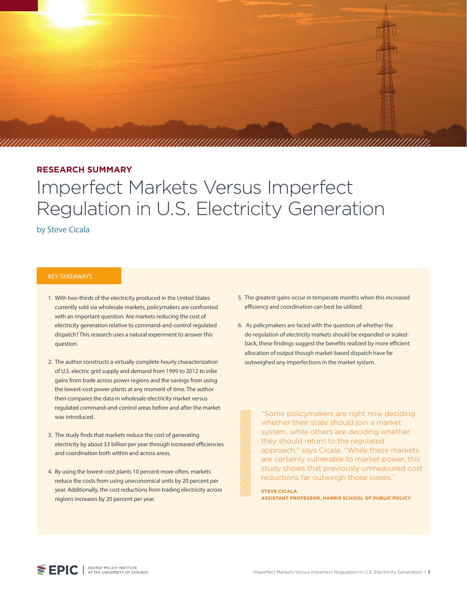

#### **RESEARCH SUMMARY**

# Imperfect Markets Versus Imperfect Regulation in U.S. Electricity Generation

by Steve Cicala

#### KEY TAKEAWAYS

- 1. With two-thirds of the electricity produced in the United States currently sold via wholesale markets, policymakers are confronted with an important question: Are markets reducing the cost of electricity generation relative to command-and-control regulated dispatch? This research uses a natural experiment to answer this question.
- 2. The author constructs a virtually complete hourly characterization of U.S. electric grid supply and demand from 1999 to 2012 to infer gains from trade across power regions and the savings from using the lowest-cost power plants at any moment of time. The author then compares the data in wholesale electricity market versus regulated command-and-control areas before and after the market was introduced.
- 3. The study finds that markets reduce the cost of generating electricity by about \$3 billion per year through increased efficiencies and coordination both within and across areas.
- 4. By using the lowest-cost plants 10 percent more often, markets reduce the costs from using uneconomical units by 20 percent per year. Additionally, the cost reductions from trading electricity across regions increases by 20 percent per year.
- 5. The greatest gains occur in temperate months when this increased efficiency and coordination can best be utilized.
- 6. As policymakers are faced with the question of whether the de-regulation of electricity markets should be expanded or scaledback, these findings suggest the benefits realized by more efficient allocation of output though market-based dispatch have far outweighed any imperfections in the market system.

"Some policymakers are right now deciding whether their state should join a market system, while others are deciding whether they should return to the regulated approach," says Cicala. "While these markets are certainly vulnerable to market power, this study shows that previously unmeasured cost reductions far outweigh those losses."

**STEVE CICALA ASSISTANT PROFESSOR, HARRIS SCHOOL OF PUBLIC POLICY**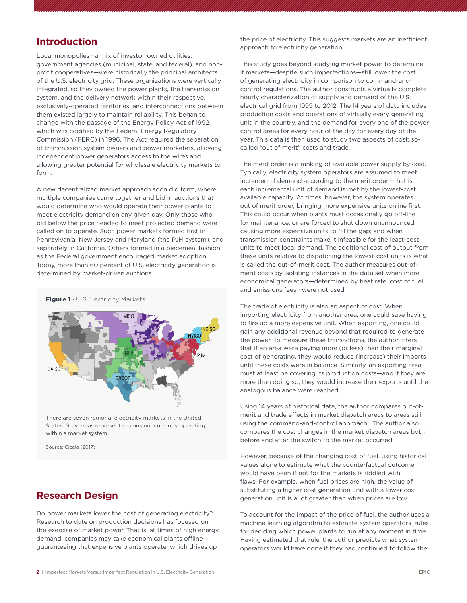#### **Introduction**

Local monopolies—a mix of investor-owned utilities, government agencies (municipal, state, and federal), and nonprofit cooperatives—were historically the principal architects of the U.S. electricity grid. These organizations were vertically integrated, so they owned the power plants, the transmission system, and the delivery network within their respective, exclusively-operated territories, and interconnections between them existed largely to maintain reliability. This began to change with the passage of the Energy Policy Act of 1992, which was codified by the Federal Energy Regulatory Commission (FERC) in 1996. The Act required the separation of transmission system owners and power marketers, allowing independent power generators access to the wires and allowing greater potential for wholesale electricity markets to form.

A new decentralized market approach soon did form, where multiple companies came together and bid in auctions that would determine who would operate their power plants to meet electricity demand on any given day. Only those who bid below the price needed to meet projected demand were called on to operate. Such power markets formed first in Pennsylvania, New Jersey and Maryland (the PJM system), and separately in California. Others formed in a piecemeal fashion as the Federal government encouraged market adoption. Today, more than 60 percent of U.S. electricity generation is determined by market-driven auctions.



There are seven regional electricity markets in the United States. Gray areas represent regions not currently operating within a market system.

Source: Cicala (2017)

### **Research Design**

Do power markets lower the cost of generating electricity? Research to date on production decisions has focused on the exercise of market power. That is, at times of high energy demand, companies may take economical plants offline guaranteeing that expensive plants operate, which drives up

the price of electricity. This suggests markets are an inefficient approach to electricity generation.

This study goes beyond studying market power to determine if markets—despite such imperfections—still lower the cost of generating electricity in comparison to command-andcontrol regulations. The author constructs a virtually complete hourly characterization of supply and demand of the U.S. electrical grid from 1999 to 2012. The 14 years of data includes production costs and operations of virtually every generating unit in the country, and the demand for every one of the power control areas for every hour of the day for every day of the year. This data is then used to study two aspects of cost: socalled "out of merit" costs and trade.

The merit order is a ranking of available power supply by cost. Typically, electricity system operators are assumed to meet incremental demand according to the merit order—that is, each incremental unit of demand is met by the lowest-cost available capacity. At times, however, the system operates out of merit order, bringing more expensive units online first. This could occur when plants must occasionally go off-line for maintenance, or are forced to shut down unannounced, causing more expensive units to fill the gap; and when transmission constraints make it infeasible for the least-cost units to meet local demand. The additional cost of output from these units relative to dispatching the lowest-cost units is what is called the out-of-merit cost. The author measures out-ofmerit costs by isolating instances in the data set when more economical generators—determined by heat rate, cost of fuel, and emissions fees—were not used.

The trade of electricity is also an aspect of cost. When importing electricity from another area, one could save having to fire up a more expensive unit. When exporting, one could gain any additional revenue beyond that required to generate the power. To measure these transactions, the author infers that if an area were paying more (or less) than their marginal cost of generating, they would reduce (increase) their imports until these costs were in balance. Similarly, an exporting area must at least be covering its production costs—and if they are more than doing so, they would increase their exports until the analogous balance were reached.

Using 14 years of historical data, the author compares out-ofmerit and trade effects in market dispatch areas to areas still using the command-and-control approach. The author also compares the cost changes in the market dispatch areas both before and after the switch to the market occurred.

However, because of the changing cost of fuel, using historical values alone to estimate what the counterfactual outcome would have been if not for the markets is riddled with flaws. For example, when fuel prices are high, the value of substituting a higher cost generation unit with a lower cost generation unit is a lot greater than when prices are low.

To account for the impact of the price of fuel, the author uses a machine learning algorithm to estimate system operators' rules for deciding which power plants to run at any moment in time. Having estimated that rule, the author predicts what system operators would have done if they had continued to follow the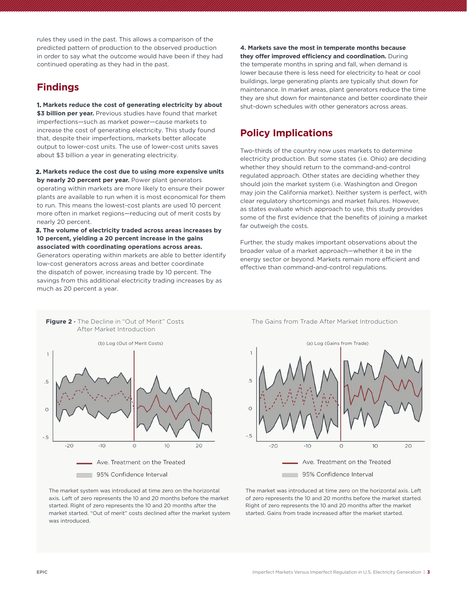rules they used in the past. This allows a comparison of the predicted pattern of production to the observed production in order to say what the outcome would have been if they had continued operating as they had in the past.

## **Findings**

**1. Markets reduce the cost of generating electricity by about** \$3 billion per year. Previous studies have found that market imperfections—such as market power—cause markets to increase the cost of generating electricity. This study found that, despite their imperfections, markets better allocate output to lower-cost units. The use of lower-cost units saves about \$3 billion a year in generating electricity.

**2. Markets reduce the cost due to using more expensive units by nearly 20 percent per year.** Power plant generators operating within markets are more likely to ensure their power plants are available to run when it is most economical for them to run. This means the lowest-cost plants are used 10 percent more often in market regions—reducing out of merit costs by nearly 20 percent.

**3. The volume of electricity traded across areas increases by 10 percent, yielding a 20 percent increase in the gains associated with coordinating operations across areas.** Generators operating within markets are able to better identify low-cost generators across areas and better coordinate the dispatch of power, increasing trade by 10 percent. The

savings from this additional electricity trading increases by as

**Figure 2 ·** The Decline in "Out of Merit" Costs The Gains from Trade After Market Introduction

much as 20 percent a year.

**4. Markets save the most in temperate months because they offer improved efficiency and coordination.** During the temperate months in spring and fall, when demand is lower because there is less need for electricity to heat or cool buildings, large generating plants are typically shut down for maintenance. In market areas, plant generators reduce the time they are shut down for maintenance and better coordinate their shut-down schedules with other generators across areas.

# **Policy Implications**

Two-thirds of the country now uses markets to determine electricity production. But some states (i.e. Ohio) are deciding whether they should return to the command-and-control regulated approach. Other states are deciding whether they should join the market system (i.e. Washington and Oregon may join the California market). Neither system is perfect, with clear regulatory shortcomings and market failures. However, as states evaluate which approach to use, this study provides some of the first evidence that the benefits of joining a market far outweigh the costs.

Further, the study makes important observations about the broader value of a market approach—whether it be in the energy sector or beyond. Markets remain more efficient and effective than command-and-control regulations.





The market system was introduced at time zero on the horizontal axis. Left of zero represents the 10 and 20 months before the market started. Right of zero represents the 10 and 20 months after the market started. "Out of merit" costs declined after the market system was introduced.

The market was introduced at time zero on the horizontal axis. Left of zero represents the 10 and 20 months before the market started. Right of zero represents the 10 and 20 months after the market started. Gains from trade increased after the market started.